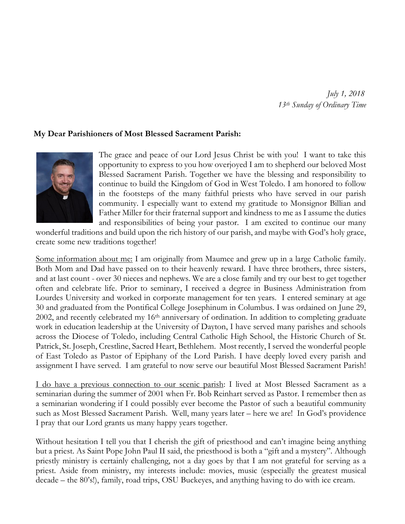*July 1, 2018 13th Sunday of Ordinary Time*

## **My Dear Parishioners of Most Blessed Sacrament Parish:**



The grace and peace of our Lord Jesus Christ be with you! I want to take this opportunity to express to you how overjoyed I am to shepherd our beloved Most Blessed Sacrament Parish. Together we have the blessing and responsibility to continue to build the Kingdom of God in West Toledo. I am honored to follow in the footsteps of the many faithful priests who have served in our parish community. I especially want to extend my gratitude to Monsignor Billian and Father Miller for their fraternal support and kindness to me as I assume the duties and responsibilities of being your pastor. I am excited to continue our many

wonderful traditions and build upon the rich history of our parish, and maybe with God's holy grace, create some new traditions together!

Some information about me: I am originally from Maumee and grew up in a large Catholic family. Both Mom and Dad have passed on to their heavenly reward. I have three brothers, three sisters, and at last count - over 30 nieces and nephews. We are a close family and try our best to get together often and celebrate life. Prior to seminary, I received a degree in Business Administration from Lourdes University and worked in corporate management for ten years. I entered seminary at age 30 and graduated from the Pontifical College Josephinum in Columbus. I was ordained on June 29, 2002, and recently celebrated my 16th anniversary of ordination. In addition to completing graduate work in education leadership at the University of Dayton, I have served many parishes and schools across the Diocese of Toledo, including Central Catholic High School, the Historic Church of St. Patrick, St. Joseph, Crestline, Sacred Heart, Bethlehem. Most recently, I served the wonderful people of East Toledo as Pastor of Epiphany of the Lord Parish. I have deeply loved every parish and assignment I have served. I am grateful to now serve our beautiful Most Blessed Sacrament Parish!

I do have a previous connection to our scenic parish: I lived at Most Blessed Sacrament as a seminarian during the summer of 2001 when Fr. Bob Reinhart served as Pastor. I remember then as a seminarian wondering if I could possibly ever become the Pastor of such a beautiful community such as Most Blessed Sacrament Parish. Well, many years later – here we are! In God's providence I pray that our Lord grants us many happy years together.

Without hesitation I tell you that I cherish the gift of priesthood and can't imagine being anything but a priest. As Saint Pope John Paul II said, the priesthood is both a "gift and a mystery". Although priestly ministry is certainly challenging, not a day goes by that I am not grateful for serving as a priest. Aside from ministry, my interests include: movies, music (especially the greatest musical decade – the 80's!), family, road trips, OSU Buckeyes, and anything having to do with ice cream.